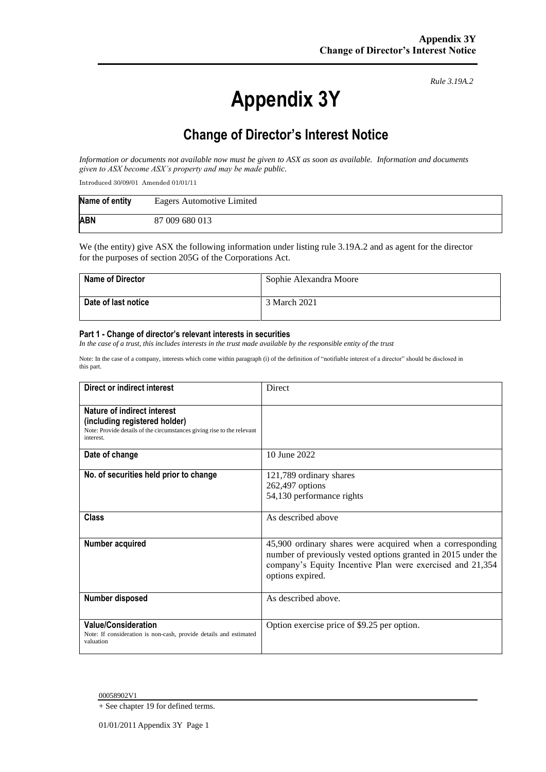# **Appendix 3Y**

*Rule 3.19A.2*

# **Change of Director's Interest Notice**

*Information or documents not available now must be given to ASX as soon as available. Information and documents given to ASX become ASX's property and may be made public.*

Introduced 30/09/01 Amended 01/01/11

| Name of entity | Eagers Automotive Limited |
|----------------|---------------------------|
| <b>ABN</b>     | 87 009 680 013            |

We (the entity) give ASX the following information under listing rule 3.19A.2 and as agent for the director for the purposes of section 205G of the Corporations Act.

| <b>Name of Director</b> | Sophie Alexandra Moore |
|-------------------------|------------------------|
| Date of last notice     | 3 March 2021           |

#### **Part 1 - Change of director's relevant interests in securities**

*In the case of a trust, this includes interests in the trust made available by the responsible entity of the trust*

Note: In the case of a company, interests which come within paragraph (i) of the definition of "notifiable interest of a director" should be disclosed in this part.

| Direct or indirect interest                                                                                                                         | Direct                                                                                                                                                                                                      |
|-----------------------------------------------------------------------------------------------------------------------------------------------------|-------------------------------------------------------------------------------------------------------------------------------------------------------------------------------------------------------------|
| Nature of indirect interest<br>(including registered holder)<br>Note: Provide details of the circumstances giving rise to the relevant<br>interest. |                                                                                                                                                                                                             |
| Date of change                                                                                                                                      | 10 June 2022                                                                                                                                                                                                |
| No. of securities held prior to change                                                                                                              | 121,789 ordinary shares<br>262,497 options<br>54,130 performance rights                                                                                                                                     |
| <b>Class</b>                                                                                                                                        | As described above                                                                                                                                                                                          |
| Number acquired                                                                                                                                     | 45,900 ordinary shares were acquired when a corresponding<br>number of previously vested options granted in 2015 under the<br>company's Equity Incentive Plan were exercised and 21,354<br>options expired. |
| Number disposed                                                                                                                                     | As described above.                                                                                                                                                                                         |
| <b>Value/Consideration</b><br>Note: If consideration is non-cash, provide details and estimated<br>valuation                                        | Option exercise price of \$9.25 per option.                                                                                                                                                                 |

00058902V1

+ See chapter 19 for defined terms.